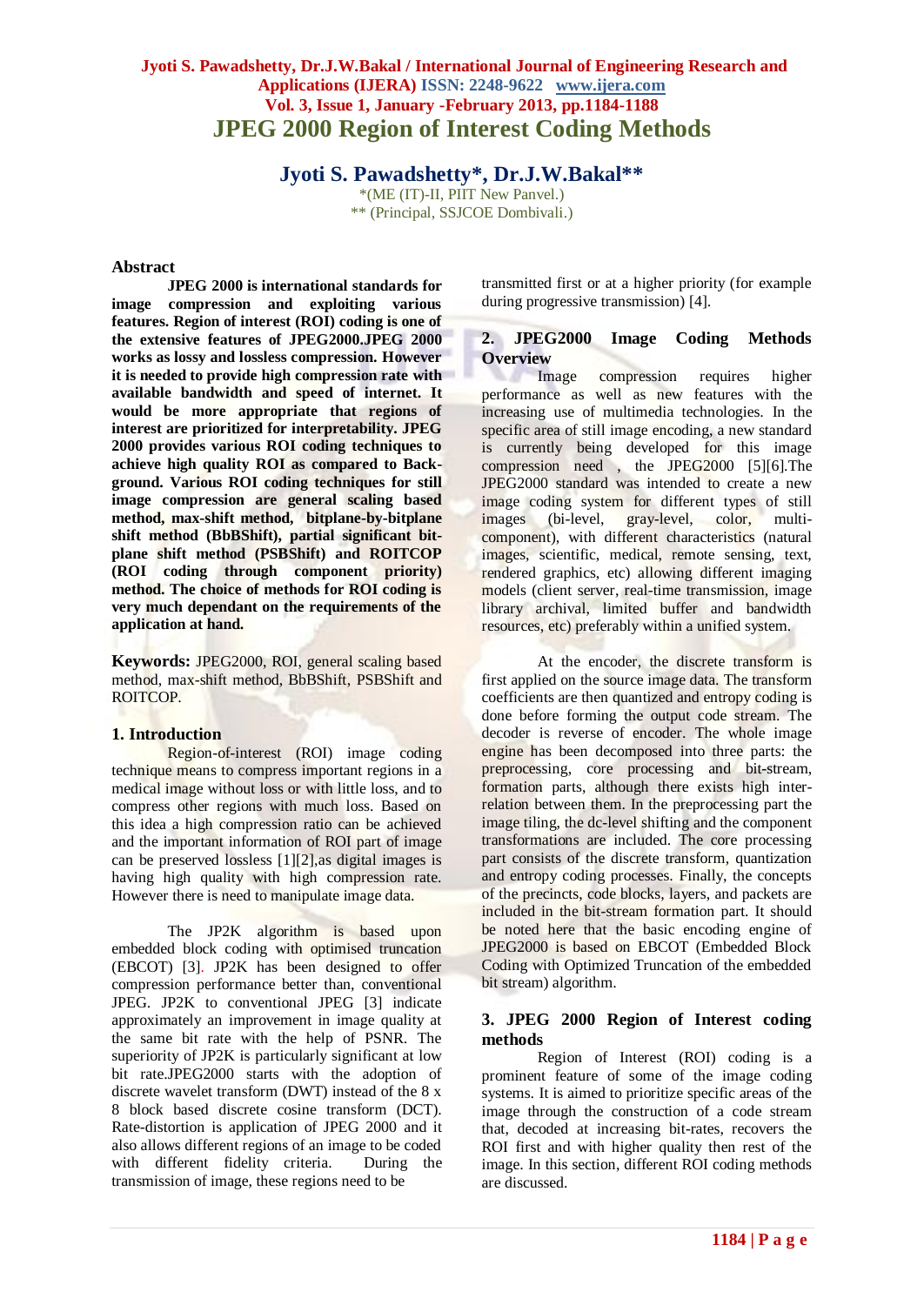# **Jyoti S. Pawadshetty, Dr.J.W.Bakal / International Journal of Engineering Research and Applications (IJERA) ISSN: 2248-9622 www.ijera.com Vol. 3, Issue 1, January -February 2013, pp.1184-1188 JPEG 2000 Region of Interest Coding Methods**

**Jyoti S. Pawadshetty\* , Dr.J.W.Bakal\*\***

\*(ME (IT)-II, PIIT New Panvel.) \*\* (Principal, SSJCOE Dombivali.)

### **Abstract**

**JPEG 2000 is international standards for image compression and exploiting various features. Region of interest (ROI) coding is one of the extensive features of JPEG2000.JPEG 2000 works as lossy and lossless compression. However it is needed to provide high compression rate with available bandwidth and speed of internet. It would be more appropriate that regions of interest are prioritized for interpretability. JPEG 2000 provides various ROI coding techniques to achieve high quality ROI as compared to Background. Various ROI coding techniques for still image compression are general scaling based method, max-shift method, bitplane-by-bitplane shift method (BbBShift), partial significant bitplane shift method (PSBShift) and ROITCOP (ROI coding through component priority) method. The choice of methods for ROI coding is very much dependant on the requirements of the application at hand.**

**Keywords:** JPEG2000, ROI, general scaling based method, max-shift method, BbBShift, PSBShift and ROITCOP.

# **1. Introduction**

Region-of-interest (ROI) image coding technique means to compress important regions in a medical image without loss or with little loss, and to compress other regions with much loss. Based on this idea a high compression ratio can be achieved and the important information of ROI part of image can be preserved lossless [1][2],as digital images is having high quality with high compression rate. However there is need to manipulate image data.

The JP2K algorithm is based upon embedded block coding with optimised truncation (EBCOT) [3]. JP2K has been designed to offer compression performance better than, conventional JPEG. JP2K to conventional JPEG [3] indicate approximately an improvement in image quality at the same bit rate with the help of PSNR. The superiority of JP2K is particularly significant at low bit rate.JPEG2000 starts with the adoption of discrete wavelet transform (DWT) instead of the 8 x 8 block based discrete cosine transform (DCT). Rate-distortion is application of JPEG 2000 and it also allows different regions of an image to be coded with different fidelity criteria. During the transmission of image, these regions need to be

transmitted first or at a higher priority (for example during progressive transmission) [4].

# **2. JPEG2000 Image Coding Methods Overview**

Image compression requires higher performance as well as new features with the increasing use of multimedia technologies. In the specific area of still image encoding, a new standard is currently being developed for this image compression need , the JPEG2000 [5][6].The JPEG2000 standard was intended to create a new image coding system for different types of still images (bi-level, gray-level, color, multicomponent), with different characteristics (natural images, scientific, medical, remote sensing, text, rendered graphics, etc) allowing different imaging models (client server, real-time transmission, image library archival, limited buffer and bandwidth resources, etc) preferably within a unified system.

At the encoder, the discrete transform is first applied on the source image data. The transform coefficients are then quantized and entropy coding is done before forming the output code stream. The decoder is reverse of encoder. The whole image engine has been decomposed into three parts: the preprocessing, core processing and bit-stream, formation parts, although there exists high interrelation between them. In the preprocessing part the image tiling, the dc-level shifting and the component transformations are included. The core processing part consists of the discrete transform, quantization and entropy coding processes. Finally, the concepts of the precincts, code blocks, layers, and packets are included in the bit-stream formation part. It should be noted here that the basic encoding engine of JPEG2000 is based on EBCOT (Embedded Block Coding with Optimized Truncation of the embedded bit stream) algorithm.

# **3. JPEG 2000 Region of Interest coding methods**

Region of Interest (ROI) coding is a prominent feature of some of the image coding systems. It is aimed to prioritize specific areas of the image through the construction of a code stream that, decoded at increasing bit-rates, recovers the ROI first and with higher quality then rest of the image. In this section, different ROI coding methods are discussed.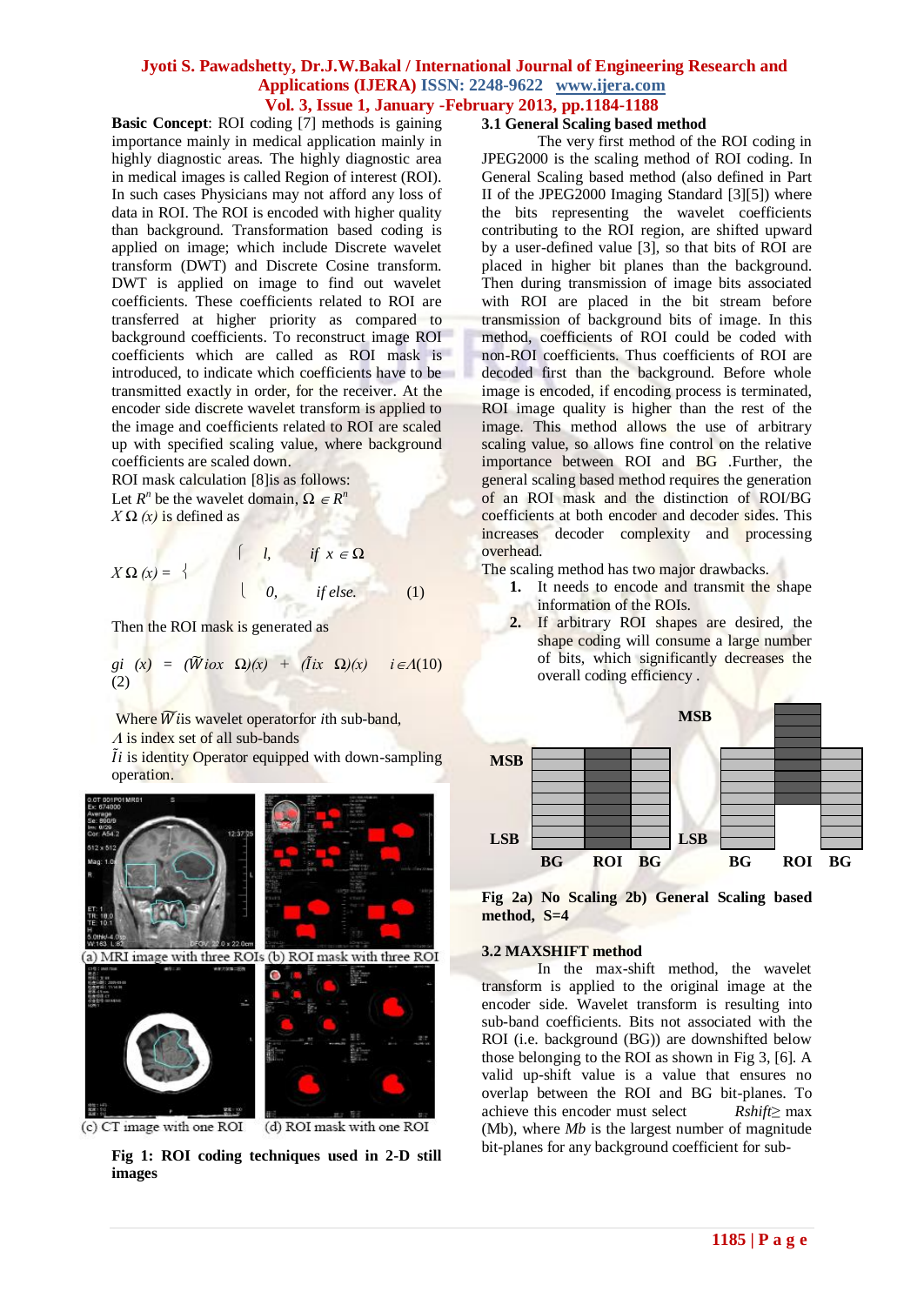**Basic Concept**: ROI coding [7] methods is gaining importance mainly in medical application mainly in highly diagnostic areas. The highly diagnostic area in medical images is called Region of interest (ROI). In such cases Physicians may not afford any loss of data in ROI. The ROI is encoded with higher quality than background. Transformation based coding is applied on image; which include Discrete wavelet transform (DWT) and Discrete Cosine transform. DWT is applied on image to find out wavelet coefficients. These coefficients related to ROI are transferred at higher priority as compared to background coefficients. To reconstruct image ROI coefficients which are called as ROI mask is introduced, to indicate which coefficients have to be transmitted exactly in order, for the receiver. At the encoder side discrete wavelet transform is applied to the image and coefficients related to ROI are scaled up with specified scaling value, where background coefficients are scaled down.

ROI mask calculation [8]is as follows: Let  $R^n$  be the wavelet domain,  $\Omega \in R^n$  $X \Omega(x)$  is defined as

$$
X \Omega(x) = \begin{cases} l, & \text{if } x \in \Omega \\ 0, & \text{if else.} \end{cases}
$$
 (1)

Then the ROI mask is generated as

من المنا

$$
gi(x) = (\widetilde{W}i\omega x \Omega)(x) + (\widetilde{I}ix \Omega)(x) \quad i \in \Lambda(10)
$$
  
(2)

xv

Where  $\widetilde{W}$  is wavelet operatorfor *i*th sub-band,

 $\Lambda$  is index set of all sub-bands

 *i* is identity Operator equipped with down-sampling operation.



(c) CT image with one ROI

(d) ROI mask with one ROI

**Fig 1: ROI coding techniques used in 2-D still images**

### **3.1 General Scaling based method**

The very first method of the ROI coding in JPEG2000 is the scaling method of ROI coding. In General Scaling based method (also defined in Part II of the JPEG2000 Imaging Standard [3][5]) where the bits representing the wavelet coefficients contributing to the ROI region, are shifted upward by a user-defined value [3], so that bits of ROI are placed in higher bit planes than the background. Then during transmission of image bits associated with ROI are placed in the bit stream before transmission of background bits of image. In this method, coefficients of ROI could be coded with non-ROI coefficients. Thus coefficients of ROI are decoded first than the background. Before whole image is encoded, if encoding process is terminated, ROI image quality is higher than the rest of the image. This method allows the use of arbitrary scaling value, so allows fine control on the relative importance between ROI and BG .Further, the general scaling based method requires the generation of an ROI mask and the distinction of ROI/BG coefficients at both encoder and decoder sides. This increases decoder complexity and processing overhead.

The scaling method has two major drawbacks.

- 1. It needs to encode and transmit the shape information of the ROIs.
- **2.** If arbitrary ROI shapes are desired, the shape coding will consume a large number of bits, which significantly decreases the overall coding efficiency .



**Fig 2a) No Scaling 2b) General Scaling based method, S=4** 

### **3.2 MAXSHIFT method**

In the max-shift method, the wavelet transform is applied to the original image at the encoder side. Wavelet transform is resulting into sub-band coefficients. Bits not associated with the ROI (i.e. background (BG)) are downshifted below those belonging to the ROI as shown in Fig 3, [6]. A valid up-shift value is a value that ensures no overlap between the ROI and BG bit-planes. To achieve this encoder must select *Rshift*≥ max (Mb), where *Mb* is the largest number of magnitude bit-planes for any background coefficient for sub-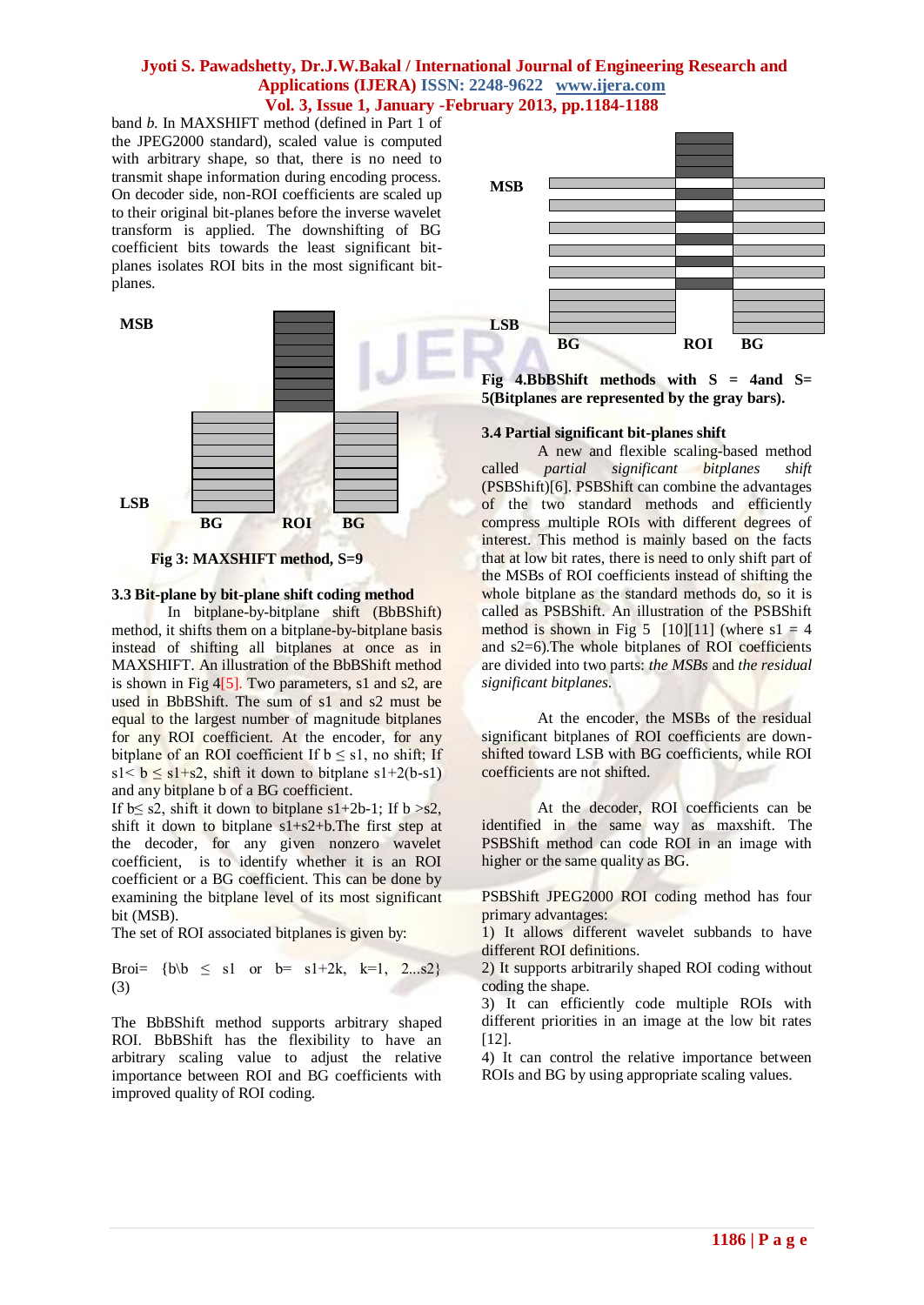band *b*. In MAXSHIFT method (defined in Part 1 of the JPEG2000 standard), scaled value is computed with arbitrary shape, so that, there is no need to transmit shape information during encoding process. On decoder side, non-ROI coefficients are scaled up to their original bit-planes before the inverse wavelet transform is applied. The downshifting of BG coefficient bits towards the least significant bitplanes isolates ROI bits in the most significant bitplanes.





### **3.3 Bit-plane by bit-plane shift coding method**

In bitplane-by-bitplane shift (BbBShift) method, it shifts them on a bitplane-by-bitplane basis instead of shifting all bitplanes at once as in MAXSHIFT. An illustration of the BbBShift method is shown in Fig 4[5]. Two parameters, s1 and s2, are used in BbBShift. The sum of s1 and s2 must be equal to the largest number of magnitude bitplanes for any ROI coefficient. At the encoder, for any bitplane of an ROI coefficient If  $b \leq s1$ , no shift; If s1<  $b \le s1+s2$ , shift it down to bitplane s1+2(b-s1) and any bitplane b of a BG coefficient.

If  $b \leq s2$ , shift it down to bitplane  $s1+2b-1$ ; If  $b > s2$ , shift it down to bitplane  $s1+s2+b$ . The first step at the decoder, for any given nonzero wavelet coefficient, is to identify whether it is an ROI coefficient or a BG coefficient. This can be done by examining the bitplane level of its most significant bit (MSB).

The set of ROI associated bitplanes is given by:

Broi= {b
$$
\mid
$$
b  $\leq$  sl or b= sl+2k, k=1, 2...s2}  
(3)

The BbBShift method supports arbitrary shaped ROI. BbBShift has the flexibility to have an arbitrary scaling value to adjust the relative importance between ROI and BG coefficients with improved quality of ROI coding.



**Fig 4.BbBShift methods with S = 4and S= 5(Bitplanes are represented by the gray bars).**

### **3.4 Partial significant bit-planes shift**

A new and flexible scaling-based method called *partial significant bitplanes shift*  (PSBShift)[6]. PSBShift can combine the advantages of the two standard methods and efficiently compress multiple ROIs with different degrees of interest. This method is mainly based on the facts that at low bit rates, there is need to only shift part of the MSBs of ROI coefficients instead of shifting the whole bitplane as the standard methods do, so it is called as PSBShift. An illustration of the PSBShift method is shown in Fig 5  $[10][11]$  (where s1 = 4 and s2=6).The whole bitplanes of ROI coefficients are divided into two parts: *the MSBs* and *the residual significant bitplanes*.

At the encoder, the MSBs of the residual significant bitplanes of ROI coefficients are downshifted toward LSB with BG coefficients, while ROI coefficients are not shifted.

At the decoder, ROI coefficients can be identified in the same way as maxshift. The PSBShift method can code ROI in an image with higher or the same quality as BG.

PSBShift JPEG2000 ROI coding method has four primary advantages:

1) It allows different wavelet subbands to have different ROI definitions.

2) It supports arbitrarily shaped ROI coding without coding the shape.

3) It can efficiently code multiple ROIs with different priorities in an image at the low bit rates [12].

4) It can control the relative importance between ROIs and BG by using appropriate scaling values.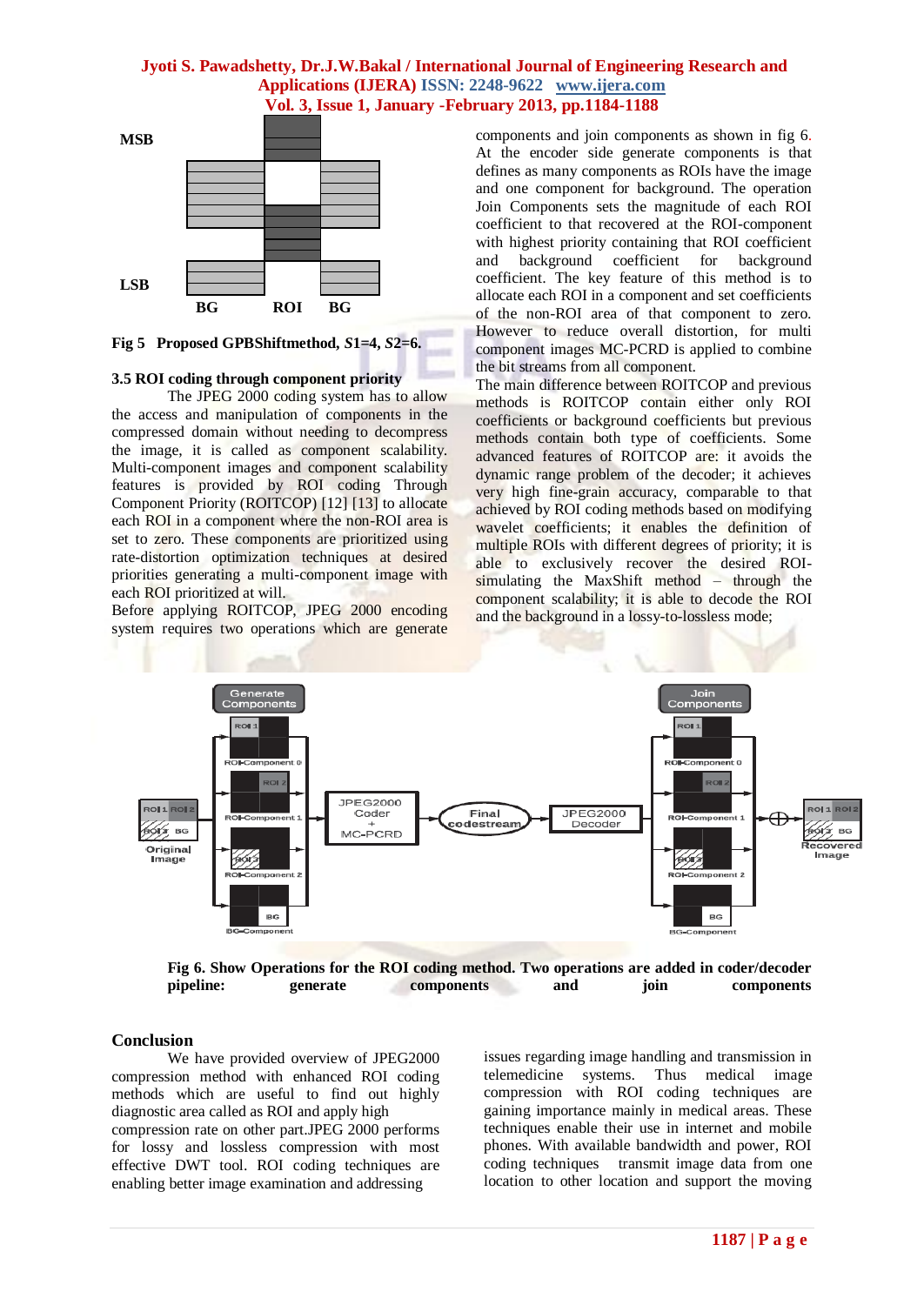

**Fig 5 Proposed GPBShiftmethod,** *S***1=4,** *S***2=6.**

### **3.5 ROI coding through component priority**

The JPEG 2000 coding system has to allow the access and manipulation of components in the compressed domain without needing to decompress the image, it is called as component scalability. Multi-component images and component scalability features is provided by ROI coding Through Component Priority (ROITCOP) [12] [13] to allocate each ROI in a component where the non-ROI area is set to zero. These components are prioritized using rate-distortion optimization techniques at desired priorities generating a multi-component image with each ROI prioritized at will.

Before applying ROITCOP, JPEG 2000 encoding system requires two operations which are generate

components and join components as shown in fig 6. At the encoder side generate components is that defines as many components as ROIs have the image and one component for background. The operation Join Components sets the magnitude of each ROI coefficient to that recovered at the ROI-component with highest priority containing that ROI coefficient and background coefficient for background coefficient. The key feature of this method is to allocate each ROI in a component and set coefficients of the non-ROI area of that component to zero. However to reduce overall distortion, for multi component images MC-PCRD is applied to combine the bit streams from all component.

The main difference between ROITCOP and previous methods is ROITCOP contain either only ROI coefficients or background coefficients but previous methods contain both type of coefficients. Some advanced features of ROITCOP are: it avoids the dynamic range problem of the decoder; it achieves very high fine-grain accuracy, comparable to that achieved by ROI coding methods based on modifying wavelet coefficients; it enables the definition of multiple ROIs with different degrees of priority; it is able to exclusively recover the desired ROIsimulating the MaxShift method – through the component scalability; it is able to decode the ROI and the background in a lossy-to-lossless mode;



**Fig 6. Show Operations for the ROI coding method. Two operations are added in coder/decoder pipeline: generate components and join components**

# **Conclusion**

We have provided overview of JPEG2000 compression method with enhanced ROI coding methods which are useful to find out highly diagnostic area called as ROI and apply high compression rate on other part.JPEG 2000 performs for lossy and lossless compression with most effective DWT tool. ROI coding techniques are enabling better image examination and addressing

issues regarding image handling and transmission in telemedicine systems. Thus medical image compression with ROI coding techniques are gaining importance mainly in medical areas. These techniques enable their use in internet and mobile phones. With available bandwidth and power, ROI coding techniques transmit image data from one location to other location and support the moving